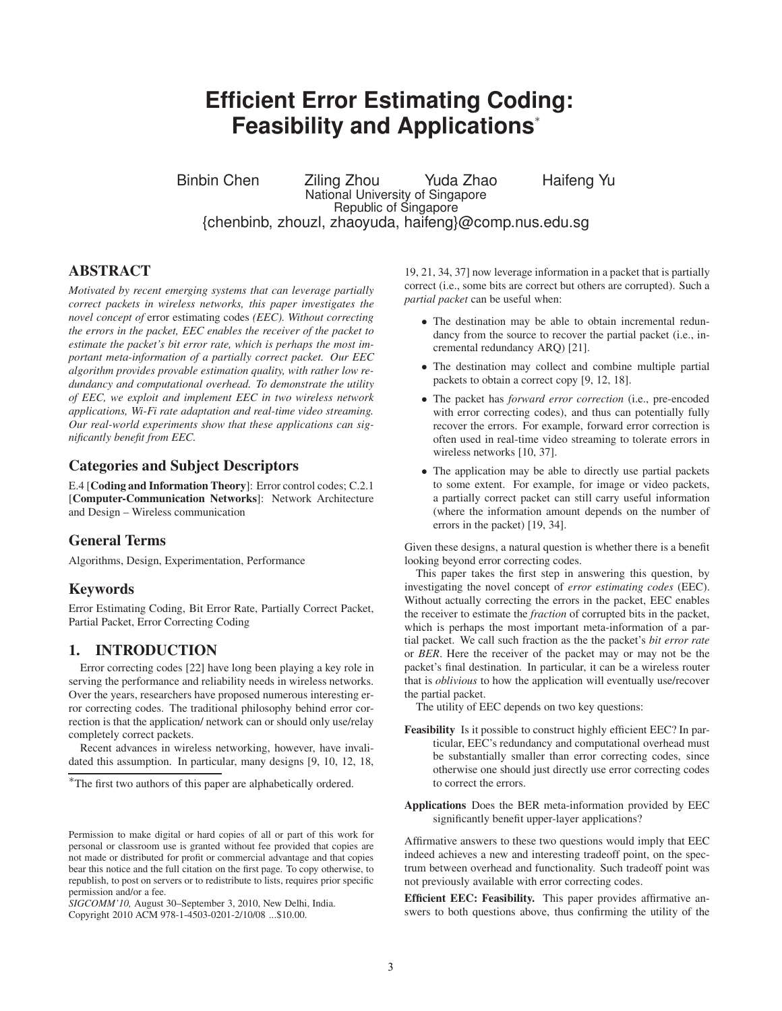# **Efficient Error Estimating Coding: Feasibility and Applications**<sup>∗</sup>

Binbin Chen Ziling Zhou Yuda Zhao Haifeng Yu National University of Singapore Republic of Singapore {chenbinb, zhouzl, zhaoyuda, haifeng}@comp.nus.edu.sg

# **ABSTRACT**

*Motivated by recent emerging systems that can leverage partially correct packets in wireless networks, this paper investigates the novel concept of* error estimating codes *(EEC). Without correcting the errors in the packet, EEC enables the receiver of the packet to estimate the packet's bit error rate, which is perhaps the most important meta-information of a partially correct packet. Our EEC algorithm provides provable estimation quality, with rather low redundancy and computational overhead. To demonstrate the utility of EEC, we exploit and implement EEC in two wireless network applications, Wi-Fi rate adaptation and real-time video streaming. Our real-world experiments show that these applications can significantly benefit from EEC.*

# **Categories and Subject Descriptors**

E.4 [**Coding and Information Theory**]: Error control codes; C.2.1 [**Computer-Communication Networks**]: Network Architecture and Design – Wireless communication

# **General Terms**

Algorithms, Design, Experimentation, Performance

# **Keywords**

Error Estimating Coding, Bit Error Rate, Partially Correct Packet, Partial Packet, Error Correcting Coding

# **1. INTRODUCTION**

Error correcting codes [22] have long been playing a key role in serving the performance and reliability needs in wireless networks. Over the years, researchers have proposed numerous interesting error correcting codes. The traditional philosophy behind error correction is that the application/ network can or should only use/relay completely correct packets.

Recent advances in wireless networking, however, have invalidated this assumption. In particular, many designs [9, 10, 12, 18,

Copyright 2010 ACM 978-1-4503-0201-2/10/08 ...\$10.00.

19, 21, 34, 37] now leverage information in a packet that is partially correct (i.e., some bits are correct but others are corrupted). Such a *partial packet* can be useful when:

- The destination may be able to obtain incremental redundancy from the source to recover the partial packet (i.e., incremental redundancy ARQ) [21].
- The destination may collect and combine multiple partial packets to obtain a correct copy [9, 12, 18].
- The packet has *forward error correction* (i.e., pre-encoded with error correcting codes), and thus can potentially fully recover the errors. For example, forward error correction is often used in real-time video streaming to tolerate errors in wireless networks [10, 37].
- The application may be able to directly use partial packets to some extent. For example, for image or video packets, a partially correct packet can still carry useful information (where the information amount depends on the number of errors in the packet) [19, 34].

Given these designs, a natural question is whether there is a benefit looking beyond error correcting codes.

This paper takes the first step in answering this question, by investigating the novel concept of *error estimating codes* (EEC). Without actually correcting the errors in the packet, EEC enables the receiver to estimate the *fraction* of corrupted bits in the packet, which is perhaps the most important meta-information of a partial packet. We call such fraction as the the packet's *bit error rate* or *BER*. Here the receiver of the packet may or may not be the packet's final destination. In particular, it can be a wireless router that is *oblivious* to how the application will eventually use/recover the partial packet.

The utility of EEC depends on two key questions:

- **Feasibility** Is it possible to construct highly efficient EEC? In particular, EEC's redundancy and computational overhead must be substantially smaller than error correcting codes, since otherwise one should just directly use error correcting codes to correct the errors.
- **Applications** Does the BER meta-information provided by EEC significantly benefit upper-layer applications?

Affirmative answers to these two questions would imply that EEC indeed achieves a new and interesting tradeoff point, on the spectrum between overhead and functionality. Such tradeoff point was not previously available with error correcting codes.

**Efficient EEC: Feasibility.** This paper provides affirmative answers to both questions above, thus confirming the utility of the

<sup>∗</sup>The first two authors of this paper are alphabetically ordered.

Permission to make digital or hard copies of all or part of this work for personal or classroom use is granted without fee provided that copies are not made or distributed for profit or commercial advantage and that copies bear this notice and the full citation on the first page. To copy otherwise, to republish, to post on servers or to redistribute to lists, requires prior specific permission and/or a fee.

*SIGCOMM'10,* August 30–September 3, 2010, New Delhi, India.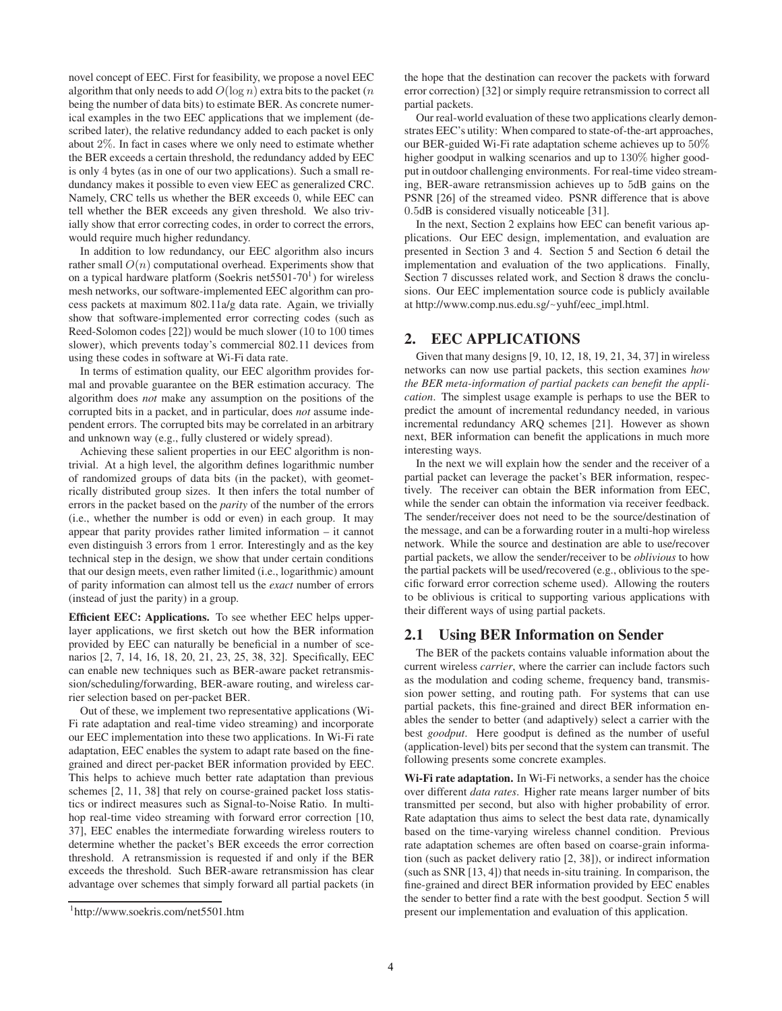novel concept of EEC. First for feasibility, we propose a novel EEC algorithm that only needs to add  $O(\log n)$  extra bits to the packet  $(n)$ being the number of data bits) to estimate BER. As concrete numerical examples in the two EEC applications that we implement (described later), the relative redundancy added to each packet is only about 2%. In fact in cases where we only need to estimate whether the BER exceeds a certain threshold, the redundancy added by EEC is only 4 bytes (as in one of our two applications). Such a small redundancy makes it possible to even view EEC as generalized CRC. Namely, CRC tells us whether the BER exceeds 0, while EEC can tell whether the BER exceeds any given threshold. We also trivially show that error correcting codes, in order to correct the errors, would require much higher redundancy.

In addition to low redundancy, our EEC algorithm also incurs rather small  $O(n)$  computational overhead. Experiments show that on a typical hardware platform (Soekris net $5501-70<sup>1</sup>$ ) for wireless mesh networks, our software-implemented EEC algorithm can process packets at maximum 802.11a/g data rate. Again, we trivially show that software-implemented error correcting codes (such as Reed-Solomon codes [22]) would be much slower (10 to 100 times slower), which prevents today's commercial 802.11 devices from using these codes in software at Wi-Fi data rate.

In terms of estimation quality, our EEC algorithm provides formal and provable guarantee on the BER estimation accuracy. The algorithm does *not* make any assumption on the positions of the corrupted bits in a packet, and in particular, does *not* assume independent errors. The corrupted bits may be correlated in an arbitrary and unknown way (e.g., fully clustered or widely spread).

Achieving these salient properties in our EEC algorithm is nontrivial. At a high level, the algorithm defines logarithmic number of randomized groups of data bits (in the packet), with geometrically distributed group sizes. It then infers the total number of errors in the packet based on the *parity* of the number of the errors (i.e., whether the number is odd or even) in each group. It may appear that parity provides rather limited information – it cannot even distinguish 3 errors from 1 error. Interestingly and as the key technical step in the design, we show that under certain conditions that our design meets, even rather limited (i.e., logarithmic) amount of parity information can almost tell us the *exact* number of errors (instead of just the parity) in a group.

**Efficient EEC: Applications.** To see whether EEC helps upperlayer applications, we first sketch out how the BER information provided by EEC can naturally be beneficial in a number of scenarios [2, 7, 14, 16, 18, 20, 21, 23, 25, 38, 32]. Specifically, EEC can enable new techniques such as BER-aware packet retransmission/scheduling/forwarding, BER-aware routing, and wireless carrier selection based on per-packet BER.

Out of these, we implement two representative applications (Wi-Fi rate adaptation and real-time video streaming) and incorporate our EEC implementation into these two applications. In Wi-Fi rate adaptation, EEC enables the system to adapt rate based on the finegrained and direct per-packet BER information provided by EEC. This helps to achieve much better rate adaptation than previous schemes [2, 11, 38] that rely on course-grained packet loss statistics or indirect measures such as Signal-to-Noise Ratio. In multihop real-time video streaming with forward error correction [10, 37], EEC enables the intermediate forwarding wireless routers to determine whether the packet's BER exceeds the error correction threshold. A retransmission is requested if and only if the BER exceeds the threshold. Such BER-aware retransmission has clear advantage over schemes that simply forward all partial packets (in the hope that the destination can recover the packets with forward error correction) [32] or simply require retransmission to correct all partial packets.

Our real-world evaluation of these two applications clearly demonstrates EEC's utility: When compared to state-of-the-art approaches, our BER-guided Wi-Fi rate adaptation scheme achieves up to 50% higher goodput in walking scenarios and up to 130% higher goodput in outdoor challenging environments. For real-time video streaming, BER-aware retransmission achieves up to 5dB gains on the PSNR [26] of the streamed video. PSNR difference that is above 0.5dB is considered visually noticeable [31].

In the next, Section 2 explains how EEC can benefit various applications. Our EEC design, implementation, and evaluation are presented in Section 3 and 4. Section 5 and Section 6 detail the implementation and evaluation of the two applications. Finally, Section 7 discusses related work, and Section 8 draws the conclusions. Our EEC implementation source code is publicly available at http://www.comp.nus.edu.sg/~yuhf/eec\_impl.html.

# **2. EEC APPLICATIONS**

Given that many designs [9, 10, 12, 18, 19, 21, 34, 37] in wireless networks can now use partial packets, this section examines *how the BER meta-information of partial packets can benefit the application*. The simplest usage example is perhaps to use the BER to predict the amount of incremental redundancy needed, in various incremental redundancy ARQ schemes [21]. However as shown next, BER information can benefit the applications in much more interesting ways.

In the next we will explain how the sender and the receiver of a partial packet can leverage the packet's BER information, respectively. The receiver can obtain the BER information from EEC, while the sender can obtain the information via receiver feedback. The sender/receiver does not need to be the source/destination of the message, and can be a forwarding router in a multi-hop wireless network. While the source and destination are able to use/recover partial packets, we allow the sender/receiver to be *oblivious* to how the partial packets will be used/recovered (e.g., oblivious to the specific forward error correction scheme used). Allowing the routers to be oblivious is critical to supporting various applications with their different ways of using partial packets.

#### **2.1 Using BER Information on Sender**

The BER of the packets contains valuable information about the current wireless *carrier*, where the carrier can include factors such as the modulation and coding scheme, frequency band, transmission power setting, and routing path. For systems that can use partial packets, this fine-grained and direct BER information enables the sender to better (and adaptively) select a carrier with the best *goodput*. Here goodput is defined as the number of useful (application-level) bits per second that the system can transmit. The following presents some concrete examples.

**Wi-Fi rate adaptation.** In Wi-Fi networks, a sender has the choice over different *data rates*. Higher rate means larger number of bits transmitted per second, but also with higher probability of error. Rate adaptation thus aims to select the best data rate, dynamically based on the time-varying wireless channel condition. Previous rate adaptation schemes are often based on coarse-grain information (such as packet delivery ratio [2, 38]), or indirect information (such as SNR [13, 4]) that needs in-situ training. In comparison, the fine-grained and direct BER information provided by EEC enables the sender to better find a rate with the best goodput. Section 5 will present our implementation and evaluation of this application.

<sup>1</sup> http://www.soekris.com/net5501.htm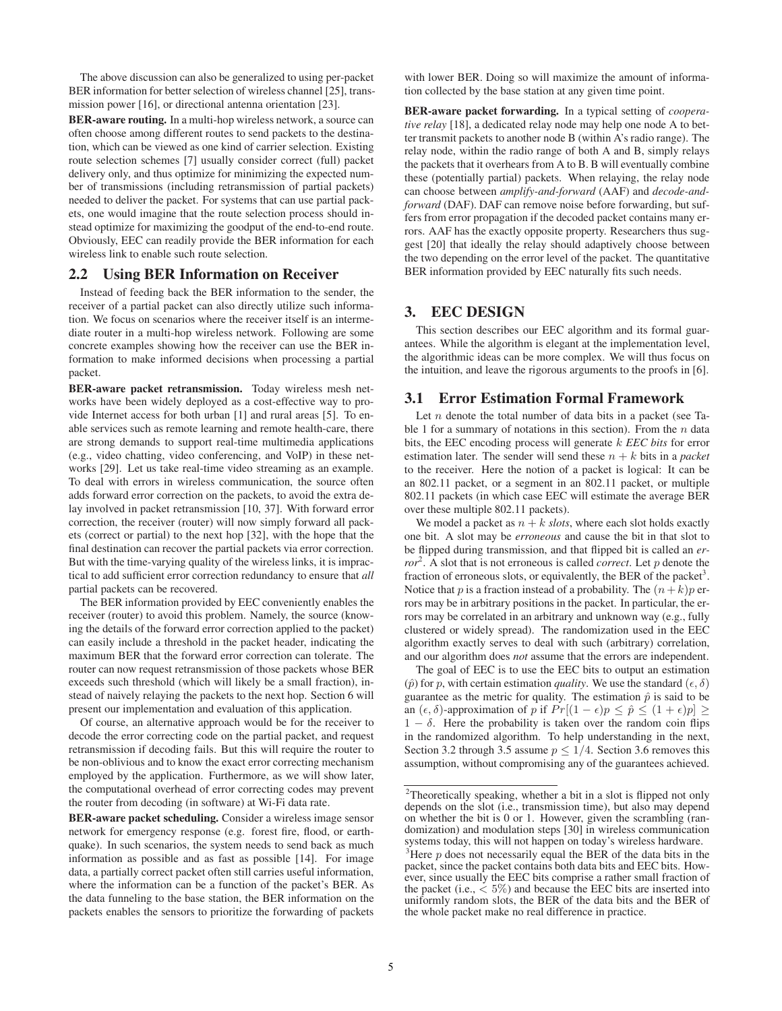The above discussion can also be generalized to using per-packet BER information for better selection of wireless channel [25], transmission power [16], or directional antenna orientation [23].

**BER-aware routing.** In a multi-hop wireless network, a source can often choose among different routes to send packets to the destination, which can be viewed as one kind of carrier selection. Existing route selection schemes [7] usually consider correct (full) packet delivery only, and thus optimize for minimizing the expected number of transmissions (including retransmission of partial packets) needed to deliver the packet. For systems that can use partial packets, one would imagine that the route selection process should instead optimize for maximizing the goodput of the end-to-end route. Obviously, EEC can readily provide the BER information for each wireless link to enable such route selection.

#### **2.2 Using BER Information on Receiver**

Instead of feeding back the BER information to the sender, the receiver of a partial packet can also directly utilize such information. We focus on scenarios where the receiver itself is an intermediate router in a multi-hop wireless network. Following are some concrete examples showing how the receiver can use the BER information to make informed decisions when processing a partial packet.

**BER-aware packet retransmission.** Today wireless mesh networks have been widely deployed as a cost-effective way to provide Internet access for both urban [1] and rural areas [5]. To enable services such as remote learning and remote health-care, there are strong demands to support real-time multimedia applications (e.g., video chatting, video conferencing, and VoIP) in these networks [29]. Let us take real-time video streaming as an example. To deal with errors in wireless communication, the source often adds forward error correction on the packets, to avoid the extra delay involved in packet retransmission [10, 37]. With forward error correction, the receiver (router) will now simply forward all packets (correct or partial) to the next hop [32], with the hope that the final destination can recover the partial packets via error correction. But with the time-varying quality of the wireless links, it is impractical to add sufficient error correction redundancy to ensure that *all* partial packets can be recovered.

The BER information provided by EEC conveniently enables the receiver (router) to avoid this problem. Namely, the source (knowing the details of the forward error correction applied to the packet) can easily include a threshold in the packet header, indicating the maximum BER that the forward error correction can tolerate. The router can now request retransmission of those packets whose BER exceeds such threshold (which will likely be a small fraction), instead of naively relaying the packets to the next hop. Section 6 will present our implementation and evaluation of this application.

Of course, an alternative approach would be for the receiver to decode the error correcting code on the partial packet, and request retransmission if decoding fails. But this will require the router to be non-oblivious and to know the exact error correcting mechanism employed by the application. Furthermore, as we will show later, the computational overhead of error correcting codes may prevent the router from decoding (in software) at Wi-Fi data rate.

**BER-aware packet scheduling.** Consider a wireless image sensor network for emergency response (e.g. forest fire, flood, or earthquake). In such scenarios, the system needs to send back as much information as possible and as fast as possible [14]. For image data, a partially correct packet often still carries useful information, where the information can be a function of the packet's BER. As the data funneling to the base station, the BER information on the packets enables the sensors to prioritize the forwarding of packets with lower BER. Doing so will maximize the amount of information collected by the base station at any given time point.

**BER-aware packet forwarding.** In a typical setting of *cooperative relay* [18], a dedicated relay node may help one node A to better transmit packets to another node B (within A's radio range). The relay node, within the radio range of both A and B, simply relays the packets that it overhears from A to B. B will eventually combine these (potentially partial) packets. When relaying, the relay node can choose between *amplify-and-forward* (AAF) and *decode-andforward* (DAF). DAF can remove noise before forwarding, but suffers from error propagation if the decoded packet contains many errors. AAF has the exactly opposite property. Researchers thus suggest [20] that ideally the relay should adaptively choose between the two depending on the error level of the packet. The quantitative BER information provided by EEC naturally fits such needs.

#### **3. EEC DESIGN**

This section describes our EEC algorithm and its formal guarantees. While the algorithm is elegant at the implementation level, the algorithmic ideas can be more complex. We will thus focus on the intuition, and leave the rigorous arguments to the proofs in [6].

#### **3.1 Error Estimation Formal Framework**

Let  $n$  denote the total number of data bits in a packet (see Table 1 for a summary of notations in this section). From the  $n$  data bits, the EEC encoding process will generate k *EEC bits* for error estimation later. The sender will send these  $n + k$  bits in a *packet* to the receiver. Here the notion of a packet is logical: It can be an 802.11 packet, or a segment in an 802.11 packet, or multiple 802.11 packets (in which case EEC will estimate the average BER over these multiple 802.11 packets).

We model a packet as  $n + k$  *slots*, where each slot holds exactly one bit. A slot may be *erroneous* and cause the bit in that slot to be flipped during transmission, and that flipped bit is called an *error*<sup>2</sup> . A slot that is not erroneous is called *correct*. Let p denote the fraction of erroneous slots, or equivalently, the BER of the packet<sup>3</sup>. Notice that p is a fraction instead of a probability. The  $(n+k)p$  errors may be in arbitrary positions in the packet. In particular, the errors may be correlated in an arbitrary and unknown way (e.g., fully clustered or widely spread). The randomization used in the EEC algorithm exactly serves to deal with such (arbitrary) correlation, and our algorithm does *not* assume that the errors are independent.

The goal of EEC is to use the EEC bits to output an estimation ( $\hat{p}$ ) for p, with certain estimation *quality*. We use the standard ( $\epsilon$ ,  $\delta$ ) guarantee as the metric for quality. The estimation  $\hat{p}$  is said to be an  $(\epsilon, \delta)$ -approximation of p if  $Pr[(1 - \epsilon)p] \leq \hat{p} \leq (1 + \epsilon)p$  >  $1 - \delta$ . Here the probability is taken over the random coin flips in the randomized algorithm. To help understanding in the next, Section 3.2 through 3.5 assume  $p \leq 1/4$ . Section 3.6 removes this assumption, without compromising any of the guarantees achieved.

<sup>2</sup>Theoretically speaking, whether a bit in a slot is flipped not only depends on the slot (i.e., transmission time), but also may depend on whether the bit is 0 or 1. However, given the scrambling (randomization) and modulation steps [30] in wireless communication systems today, this will not happen on today's wireless hardware.

 $3$ Here  $p$  does not necessarily equal the BER of the data bits in the packet, since the packet contains both data bits and EEC bits. However, since usually the EEC bits comprise a rather small fraction of the packet (i.e.,  $\lt 5\%$ ) and because the EEC bits are inserted into uniformly random slots, the BER of the data bits and the BER of the whole packet make no real difference in practice.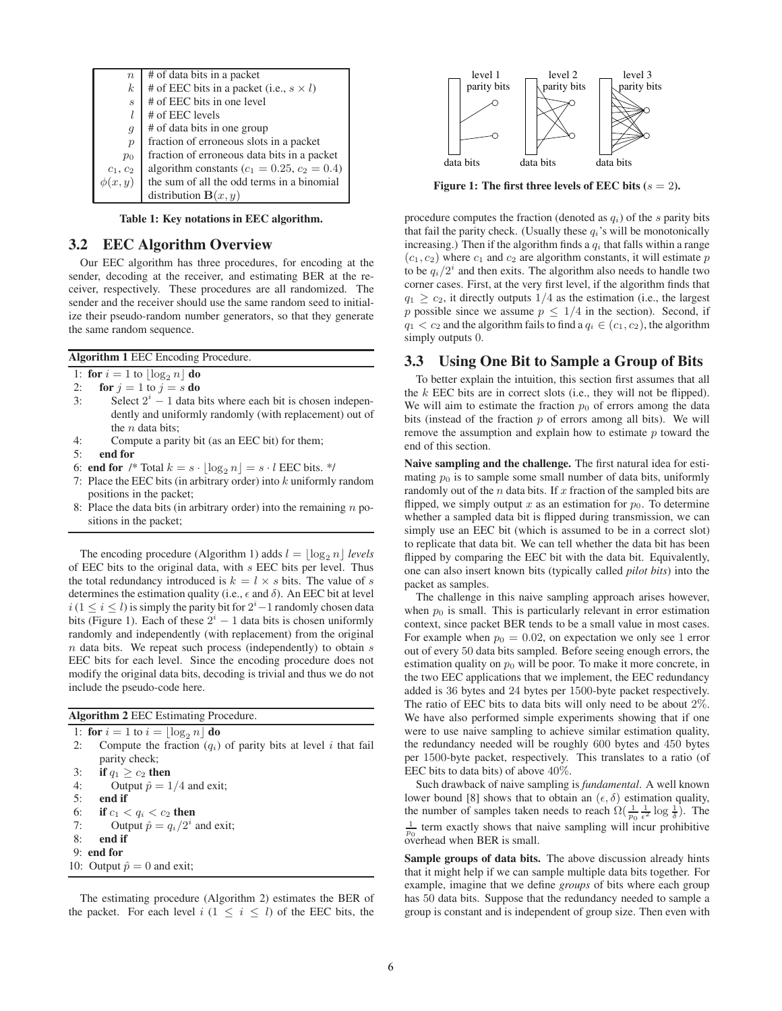| $\boldsymbol{n}$  | # of data bits in a packet                         |
|-------------------|----------------------------------------------------|
| $\kappa$          | # of EEC bits in a packet (i.e., $s \times l$ )    |
| $\mathcal{S}_{0}$ | # of EEC bits in one level                         |
| l                 | # of EEC levels                                    |
| $\mathfrak{g}$    | # of data bits in one group                        |
| $\boldsymbol{p}$  | fraction of erroneous slots in a packet            |
| $p_0$             | fraction of erroneous data bits in a packet        |
| $c_1, c_2$        | algorithm constants ( $c_1 = 0.25$ , $c_2 = 0.4$ ) |
| $\phi(x,y)$       | the sum of all the odd terms in a binomial         |
|                   | distribution $\mathbf{B}(x, y)$                    |

**Table 1: Key notations in EEC algorithm.**

#### **3.2 EEC Algorithm Overview**

Our EEC algorithm has three procedures, for encoding at the sender, decoding at the receiver, and estimating BER at the receiver, respectively. These procedures are all randomized. The sender and the receiver should use the same random seed to initialize their pseudo-random number generators, so that they generate the same random sequence.

**Algorithm 1** EEC Encoding Procedure.

1: **for**  $i = 1$  to  $\lfloor \log_2 n \rfloor$  **do** 

2: **for**  $j = 1$  to  $j = s$  **do** 

- 3: Select  $2^{i} 1$  data bits where each bit is chosen independently and uniformly randomly (with replacement) out of the  $n$  data bits;
- 4: Compute a parity bit (as an EEC bit) for them;
- 5: **end for**
- 6: **end for** /\* Total  $k = s \cdot |\log_2 n| = s \cdot l$  EEC bits. \*/
- 7: Place the EEC bits (in arbitrary order) into  $k$  uniformly random positions in the packet;
- 8: Place the data bits (in arbitrary order) into the remaining  $n$  positions in the packet;

The encoding procedure (Algorithm 1) adds  $l = \lfloor \log_2 n \rfloor$  *levels* of EEC bits to the original data, with  $s$  EEC bits per level. Thus the total redundancy introduced is  $k = l \times s$  bits. The value of s determines the estimation quality (i.e.,  $\epsilon$  and  $\delta$ ). An EEC bit at level  $i$  ( $1 \le i \le l$ ) is simply the parity bit for  $2^i-1$  randomly chosen data bits (Figure 1). Each of these  $2^{i} - 1$  data bits is chosen uniformly randomly and independently (with replacement) from the original  $n$  data bits. We repeat such process (independently) to obtain  $s$ EEC bits for each level. Since the encoding procedure does not modify the original data bits, decoding is trivial and thus we do not include the pseudo-code here.

#### **Algorithm 2** EEC Estimating Procedure.

1: **for**  $i = 1$  to  $i = \lfloor \log_2 n \rfloor$  **do** 2: Compute the fraction  $(q_i)$  of parity bits at level i that fail parity check; 3: **if**  $q_1 \geq c_2$  **then** 4: Output  $\hat{p} = 1/4$  and exit; 5: **end if** 6: **if**  $c_1 < q_i < c_2$  **then** 7: Output  $\hat{p} = q_i/2^i$  and exit; 8: **end if** 9: **end for** 10: Output  $\hat{p} = 0$  and exit;

The estimating procedure (Algorithm 2) estimates the BER of the packet. For each level  $i$  ( $1 \le i \le l$ ) of the EEC bits, the



**Figure 1: The first three levels of EEC bits (** $s = 2$ **).** 

procedure computes the fraction (denoted as  $q_i$ ) of the s parity bits that fail the parity check. (Usually these  $q_i$ 's will be monotonically increasing.) Then if the algorithm finds a  $q_i$  that falls within a range  $(c_1, c_2)$  where  $c_1$  and  $c_2$  are algorithm constants, it will estimate p to be  $q_i/2^i$  and then exits. The algorithm also needs to handle two corner cases. First, at the very first level, if the algorithm finds that  $q_1 \geq c_2$ , it directly outputs  $1/4$  as the estimation (i.e., the largest p possible since we assume  $p \leq 1/4$  in the section). Second, if  $q_1 < c_2$  and the algorithm fails to find a  $q_i \in (c_1, c_2)$ , the algorithm simply outputs 0.

#### **3.3 Using One Bit to Sample a Group of Bits**

To better explain the intuition, this section first assumes that all the  $k$  EEC bits are in correct slots (i.e., they will not be flipped). We will aim to estimate the fraction  $p_0$  of errors among the data bits (instead of the fraction  $p$  of errors among all bits). We will remove the assumption and explain how to estimate  $p$  toward the end of this section.

**Naive sampling and the challenge.** The first natural idea for estimating  $p_0$  is to sample some small number of data bits, uniformly randomly out of the  $n$  data bits. If  $x$  fraction of the sampled bits are flipped, we simply output x as an estimation for  $p_0$ . To determine whether a sampled data bit is flipped during transmission, we can simply use an EEC bit (which is assumed to be in a correct slot) to replicate that data bit. We can tell whether the data bit has been flipped by comparing the EEC bit with the data bit. Equivalently, one can also insert known bits (typically called *pilot bits*) into the packet as samples.

The challenge in this naive sampling approach arises however, when  $p_0$  is small. This is particularly relevant in error estimation context, since packet BER tends to be a small value in most cases. For example when  $p_0 = 0.02$ , on expectation we only see 1 error out of every 50 data bits sampled. Before seeing enough errors, the estimation quality on  $p_0$  will be poor. To make it more concrete, in the two EEC applications that we implement, the EEC redundancy added is 36 bytes and 24 bytes per 1500-byte packet respectively. The ratio of EEC bits to data bits will only need to be about 2%. We have also performed simple experiments showing that if one were to use naive sampling to achieve similar estimation quality, the redundancy needed will be roughly 600 bytes and 450 bytes per 1500-byte packet, respectively. This translates to a ratio (of EEC bits to data bits) of above 40%.

Such drawback of naive sampling is *fundamental*. A well known lower bound [8] shows that to obtain an  $(\epsilon, \delta)$  estimation quality, the number of samples taken needs to reach  $\Omega(\frac{1}{p_0} \frac{1}{\epsilon^2} \log \frac{1}{\delta})$ . The  $\frac{1}{p_0}$  term exactly shows that naive sampling will incur prohibitive overhead when BER is small.

**Sample groups of data bits.** The above discussion already hints that it might help if we can sample multiple data bits together. For example, imagine that we define *groups* of bits where each group has 50 data bits. Suppose that the redundancy needed to sample a group is constant and is independent of group size. Then even with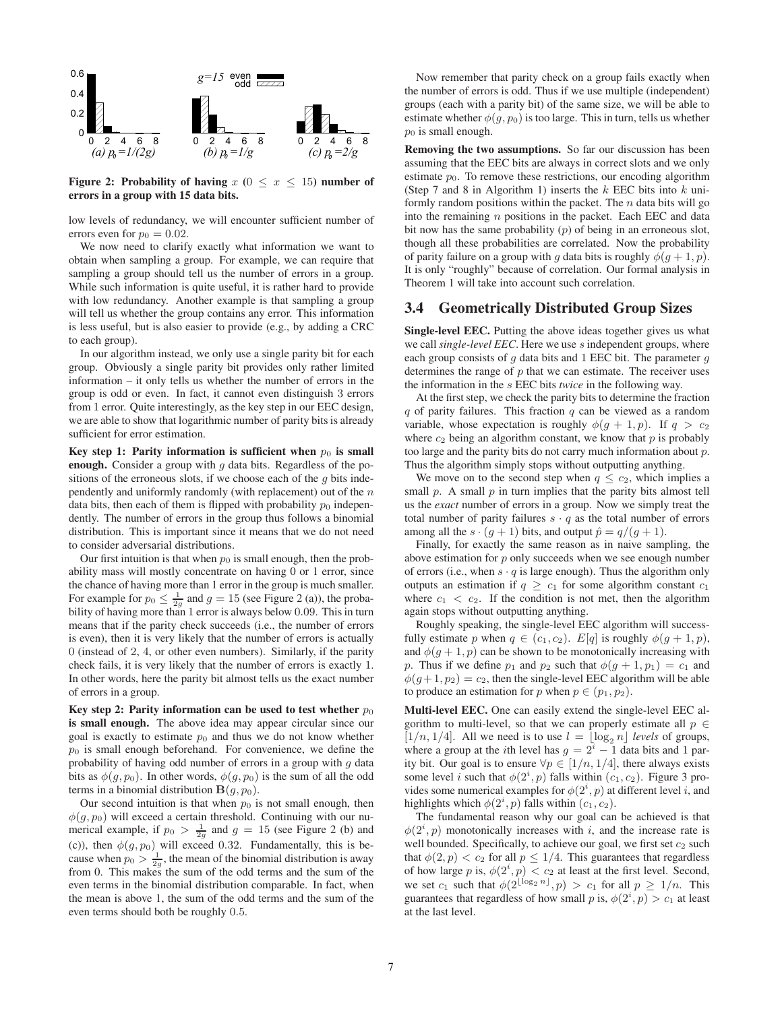

**Figure 2: Probability of having**  $x$  ( $0 \le x \le 15$ ) number of **errors in a group with 15 data bits.**

low levels of redundancy, we will encounter sufficient number of errors even for  $p_0 = 0.02$ .

We now need to clarify exactly what information we want to obtain when sampling a group. For example, we can require that sampling a group should tell us the number of errors in a group. While such information is quite useful, it is rather hard to provide with low redundancy. Another example is that sampling a group will tell us whether the group contains any error. This information is less useful, but is also easier to provide (e.g., by adding a CRC to each group).

In our algorithm instead, we only use a single parity bit for each group. Obviously a single parity bit provides only rather limited information – it only tells us whether the number of errors in the group is odd or even. In fact, it cannot even distinguish 3 errors from 1 error. Quite interestingly, as the key step in our EEC design, we are able to show that logarithmic number of parity bits is already sufficient for error estimation.

**Key step 1: Parity information is sufficient when**  $p_0$  is small **enough.** Consider a group with  $q$  data bits. Regardless of the positions of the erroneous slots, if we choose each of the  $q$  bits independently and uniformly randomly (with replacement) out of the  $n$ data bits, then each of them is flipped with probability  $p_0$  independently. The number of errors in the group thus follows a binomial distribution. This is important since it means that we do not need to consider adversarial distributions.

Our first intuition is that when  $p_0$  is small enough, then the probability mass will mostly concentrate on having 0 or 1 error, since the chance of having more than 1 error in the group is much smaller. For example for  $p_0 \leq \frac{1}{2g}$  and  $g = 15$  (see Figure 2 (a)), the probability of having more than 1 error is always below 0.09. This in turn means that if the parity check succeeds (i.e., the number of errors is even), then it is very likely that the number of errors is actually 0 (instead of 2, 4, or other even numbers). Similarly, if the parity check fails, it is very likely that the number of errors is exactly 1. In other words, here the parity bit almost tells us the exact number of errors in a group.

Key step 2: Parity information can be used to test whether  $p_0$ **is small enough.** The above idea may appear circular since our goal is exactly to estimate  $p_0$  and thus we do not know whether  $p<sub>0</sub>$  is small enough beforehand. For convenience, we define the probability of having odd number of errors in a group with  $g$  data bits as  $\phi(g, p_0)$ . In other words,  $\phi(g, p_0)$  is the sum of all the odd terms in a binomial distribution  $\mathbf{B}(q, p_0)$ .

Our second intuition is that when  $p_0$  is not small enough, then  $\phi(g, p_0)$  will exceed a certain threshold. Continuing with our numerical example, if  $p_0 > \frac{1}{2g}$  and  $g = 15$  (see Figure 2 (b) and (c)), then  $\phi(g, p_0)$  will exceed 0.32. Fundamentally, this is because when  $p_0 > \frac{1}{2g}$ , the mean of the binomial distribution is away from 0. This makes the sum of the odd terms and the sum of the even terms in the binomial distribution comparable. In fact, when the mean is above 1, the sum of the odd terms and the sum of the even terms should both be roughly 0.5.

Now remember that parity check on a group fails exactly when the number of errors is odd. Thus if we use multiple (independent) groups (each with a parity bit) of the same size, we will be able to estimate whether  $\phi(g, p_0)$  is too large. This in turn, tells us whether  $p_0$  is small enough.

**Removing the two assumptions.** So far our discussion has been assuming that the EEC bits are always in correct slots and we only estimate  $p_0$ . To remove these restrictions, our encoding algorithm (Step 7 and 8 in Algorithm 1) inserts the  $k$  EEC bits into  $k$  uniformly random positions within the packet. The  $n$  data bits will go into the remaining  $n$  positions in the packet. Each EEC and data bit now has the same probability  $(p)$  of being in an erroneous slot, though all these probabilities are correlated. Now the probability of parity failure on a group with q data bits is roughly  $\phi(q+1, p)$ . It is only "roughly" because of correlation. Our formal analysis in Theorem 1 will take into account such correlation.

# **3.4 Geometrically Distributed Group Sizes**

**Single-level EEC.** Putting the above ideas together gives us what we call *single-level EEC*. Here we use s independent groups, where each group consists of  $g$  data bits and 1 EEC bit. The parameter  $g$ determines the range of  $p$  that we can estimate. The receiver uses the information in the s EEC bits *twice* in the following way.

At the first step, we check the parity bits to determine the fraction  $q$  of parity failures. This fraction  $q$  can be viewed as a random variable, whose expectation is roughly  $\phi(g + 1, p)$ . If  $q > c_2$ where  $c_2$  being an algorithm constant, we know that p is probably too large and the parity bits do not carry much information about p. Thus the algorithm simply stops without outputting anything.

We move on to the second step when  $q \leq c_2$ , which implies a small  $p$ . A small  $p$  in turn implies that the parity bits almost tell us the *exact* number of errors in a group. Now we simply treat the total number of parity failures  $s \cdot q$  as the total number of errors among all the  $s \cdot (g + 1)$  bits, and output  $\hat{p} = \frac{q}{(g + 1)}$ .

Finally, for exactly the same reason as in naive sampling, the above estimation for p only succeeds when we see enough number of errors (i.e., when  $s \cdot q$  is large enough). Thus the algorithm only outputs an estimation if  $q \geq c_1$  for some algorithm constant  $c_1$ where  $c_1 < c_2$ . If the condition is not met, then the algorithm again stops without outputting anything.

Roughly speaking, the single-level EEC algorithm will successfully estimate p when  $q \in (c_1, c_2)$ .  $E[q]$  is roughly  $\phi(g + 1, p)$ , and  $\phi(q+1, p)$  can be shown to be monotonically increasing with p. Thus if we define  $p_1$  and  $p_2$  such that  $\phi(g+1, p_1) = c_1$  and  $\phi(q+1, p_2) = c_2$ , then the single-level EEC algorithm will be able to produce an estimation for p when  $p \in (p_1, p_2)$ .

**Multi-level EEC.** One can easily extend the single-level EEC algorithm to multi-level, so that we can properly estimate all  $p \in$  $[1/n, 1/4]$ . All we need is to use  $l = \lfloor \log_2 n \rfloor$  *levels* of groups, where a group at the *i*th level has  $g = 2^{i} - 1$  data bits and 1 parity bit. Our goal is to ensure  $\forall p \in [1/n, 1/4]$ , there always exists some level i such that  $\phi(2^i, p)$  falls within  $(c_1, c_2)$ . Figure 3 provides some numerical examples for  $\phi(2^i, p)$  at different level i, and highlights which  $\phi(2^i, p)$  falls within  $(c_1, c_2)$ .

The fundamental reason why our goal can be achieved is that  $\phi(2^i, p)$  monotonically increases with i, and the increase rate is well bounded. Specifically, to achieve our goal, we first set  $c_2$  such that  $\phi(2, p) < c_2$  for all  $p \leq 1/4$ . This guarantees that regardless of how large p is,  $\phi(2^i, p) < c_2$  at least at the first level. Second, we set  $c_1$  such that  $\phi(2^{\lfloor \log_2 n \rfloor}, p) > c_1$  for all  $p \geq 1/n$ . This guarantees that regardless of how small p is,  $\phi(2^i, p) > c_1$  at least at the last level.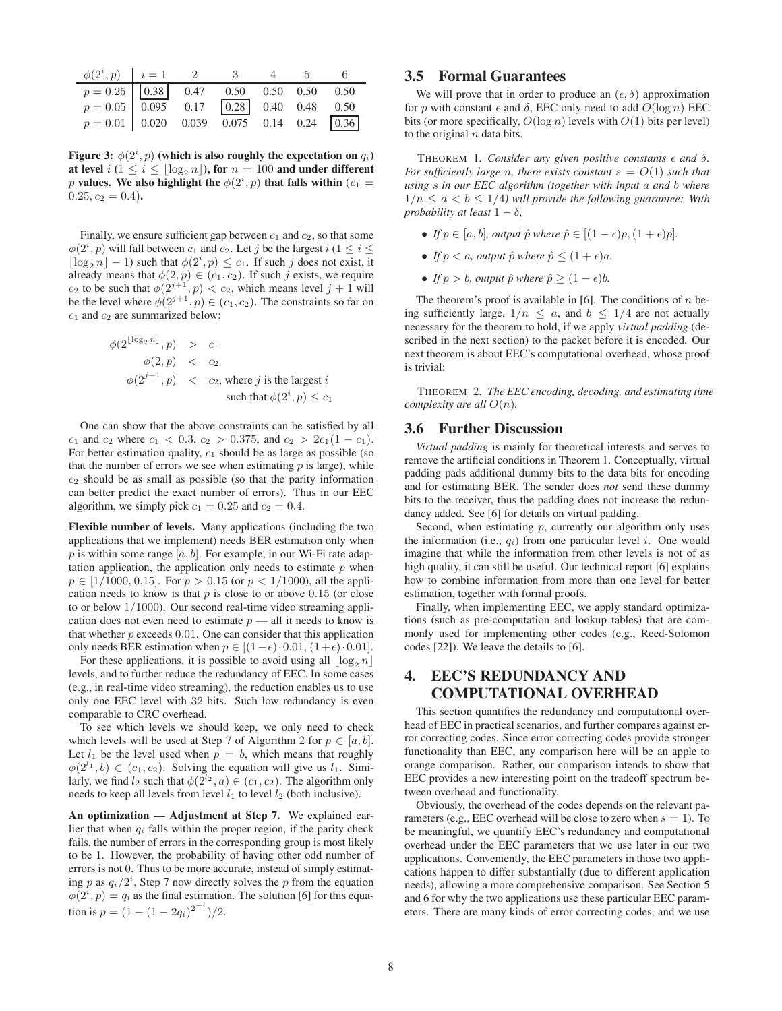| $\phi(2^i, p)$ $i = 1$ 2 3 4 5 6                                                                                                                                                                                                                                                                                                              |  |  |  |
|-----------------------------------------------------------------------------------------------------------------------------------------------------------------------------------------------------------------------------------------------------------------------------------------------------------------------------------------------|--|--|--|
| $\begin{tabular}{l cccccc} $p=0.25$ & $\begin{array}{ c} 0.38 \end{array}$ & $0.47$ & $0.50$ & $0.50$ & $0.50$ & $0.50$ \\ $p=0.05$ & $0.095$ & $0.17$ & $\begin{array}{ c} 0.28 \end{array}$ & $0.40$ & $0.48$ & $0.50$ \\ $p=0.01$ & $0.020$ & $0.039$ & $0.075$ & $0.14$ & $0.24$ & $\begin{array}{ c} 0.36 \end{array}$ \\ \end{tabular}$ |  |  |  |
|                                                                                                                                                                                                                                                                                                                                               |  |  |  |
|                                                                                                                                                                                                                                                                                                                                               |  |  |  |

Figure 3:  $\phi(2^i, p)$  (which is also roughly the expectation on  $q_i$ ) **at level**  $i$  ( $1 \leq i \leq \lfloor \log_2 n \rfloor$ ), for  $n = 100$  and under different p **values.** We also highlight the  $\phi(2^i, p)$  that falls within  $(c_1 =$  $0.25, c_2 = 0.4$ ).

Finally, we ensure sufficient gap between  $c_1$  and  $c_2$ , so that some  $\phi(2^i, p)$  will fall between  $c_1$  and  $c_2$ . Let j be the largest  $i$  ( $1 \leq i \leq$  $\lfloor \log_2 n \rfloor - 1$ ) such that  $\phi(2^i, p) \leq c_1$ . If such j does not exist, it already means that  $\phi(2, p) \in (c_1, c_2)$ . If such j exists, we require  $c_2$  to be such that  $\phi(2^{j+1}, p) < c_2$ , which means level  $j + 1$  will be the level where  $\phi(2^{j+1}, p) \in (c_1, c_2)$ . The constraints so far on  $c_1$  and  $c_2$  are summarized below:

$$
\phi(2^{\lfloor \log_2 n \rfloor}, p) > c_1
$$
  
\n
$$
\phi(2, p) < c_2
$$
  
\n
$$
\phi(2^{j+1}, p) < c_2
$$
, where *j* is the largest *i*  
\nsuch that  $\phi(2^i, p) \le c_1$ 

One can show that the above constraints can be satisfied by all  $c_1$  and  $c_2$  where  $c_1 < 0.3$ ,  $c_2 > 0.375$ , and  $c_2 > 2c_1(1 - c_1)$ . For better estimation quality,  $c_1$  should be as large as possible (so that the number of errors we see when estimating  $p$  is large), while  $c<sub>2</sub>$  should be as small as possible (so that the parity information can better predict the exact number of errors). Thus in our EEC algorithm, we simply pick  $c_1 = 0.25$  and  $c_2 = 0.4$ .

**Flexible number of levels.** Many applications (including the two applications that we implement) needs BER estimation only when p is within some range  $[a, b]$ . For example, in our Wi-Fi rate adaptation application, the application only needs to estimate  $p$  when  $p \in [1/1000, 0.15]$ . For  $p > 0.15$  (or  $p < 1/1000$ ), all the application needs to know is that  $p$  is close to or above 0.15 (or close to or below 1/1000). Our second real-time video streaming application does not even need to estimate  $p$  — all it needs to know is that whether  $p$  exceeds 0.01. One can consider that this application only needs BER estimation when  $p \in [(1-\epsilon)\cdot 0.01, (1+\epsilon)\cdot 0.01]$ .

For these applications, it is possible to avoid using all  $|\log_2 n|$ levels, and to further reduce the redundancy of EEC. In some cases (e.g., in real-time video streaming), the reduction enables us to use only one EEC level with 32 bits. Such low redundancy is even comparable to CRC overhead.

To see which levels we should keep, we only need to check which levels will be used at Step 7 of Algorithm 2 for  $p \in [a, b]$ . Let  $l_1$  be the level used when  $p = b$ , which means that roughly  $\phi(2^{l_1}, b) \in (c_1, c_2)$ . Solving the equation will give us  $l_1$ . Similarly, we find  $l_2$  such that  $\phi(2^{l_2}, a) \in (c_1, c_2)$ . The algorithm only needs to keep all levels from level  $l_1$  to level  $l_2$  (both inclusive).

**An optimization — Adjustment at Step 7.** We explained earlier that when  $q_i$  falls within the proper region, if the parity check fails, the number of errors in the corresponding group is most likely to be 1. However, the probability of having other odd number of errors is not 0. Thus to be more accurate, instead of simply estimating p as  $q_i/2^i$ , Step 7 now directly solves the p from the equation  $\phi(2^i, p) = q_i$  as the final estimation. The solution [6] for this equation is  $p = (1 - (1 - 2q_i)^{2^{-i}})/2$ .

#### **3.5 Formal Guarantees**

We will prove that in order to produce an  $(\epsilon, \delta)$  approximation for p with constant  $\epsilon$  and  $\delta$ , EEC only need to add  $O(\log n)$  EEC bits (or more specifically,  $O(\log n)$  levels with  $O(1)$  bits per level) to the original  $n$  data bits.

THEOREM 1. *Consider any given positive constants*  $\epsilon$  *and*  $\delta$ . *For sufficiently large n, there exists constant*  $s = O(1)$  *such that using* s *in our EEC algorithm (together with input* a *and* b *where*  $1/n \le a \le b \le 1/4$ *) will provide the following guarantee: With probability at least*  $1 - \delta$ *,* 

- *If*  $p \in [a, b]$ *, output*  $\hat{p}$  *where*  $\hat{p} \in [(1 \epsilon)p, (1 + \epsilon)p]$ *.*
- *If*  $p < a$ *, output*  $\hat{p}$  *where*  $\hat{p} < (1 + \epsilon)a$ *.*
- *If*  $p > b$ *, output*  $\hat{p}$  *where*  $\hat{p} \geq (1 \epsilon)b$ *.*

The theorem's proof is available in [6]. The conditions of  $n$  being sufficiently large,  $1/n \le a$ , and  $b \le 1/4$  are not actually necessary for the theorem to hold, if we apply *virtual padding* (described in the next section) to the packet before it is encoded. Our next theorem is about EEC's computational overhead, whose proof is trivial:

THEOREM 2. *The EEC encoding, decoding, and estimating time complexity are all* O(n)*.*

## **3.6 Further Discussion**

*Virtual padding* is mainly for theoretical interests and serves to remove the artificial conditions in Theorem 1. Conceptually, virtual padding pads additional dummy bits to the data bits for encoding and for estimating BER. The sender does *not* send these dummy bits to the receiver, thus the padding does not increase the redundancy added. See [6] for details on virtual padding.

Second, when estimating  $p$ , currently our algorithm only uses the information (i.e.,  $q_i$ ) from one particular level i. One would imagine that while the information from other levels is not of as high quality, it can still be useful. Our technical report [6] explains how to combine information from more than one level for better estimation, together with formal proofs.

Finally, when implementing EEC, we apply standard optimizations (such as pre-computation and lookup tables) that are commonly used for implementing other codes (e.g., Reed-Solomon codes [22]). We leave the details to [6].

# **4. EEC'S REDUNDANCY AND COMPUTATIONAL OVERHEAD**

This section quantifies the redundancy and computational overhead of EEC in practical scenarios, and further compares against error correcting codes. Since error correcting codes provide stronger functionality than EEC, any comparison here will be an apple to orange comparison. Rather, our comparison intends to show that EEC provides a new interesting point on the tradeoff spectrum between overhead and functionality.

Obviously, the overhead of the codes depends on the relevant parameters (e.g., EEC overhead will be close to zero when  $s = 1$ ). To be meaningful, we quantify EEC's redundancy and computational overhead under the EEC parameters that we use later in our two applications. Conveniently, the EEC parameters in those two applications happen to differ substantially (due to different application needs), allowing a more comprehensive comparison. See Section 5 and 6 for why the two applications use these particular EEC parameters. There are many kinds of error correcting codes, and we use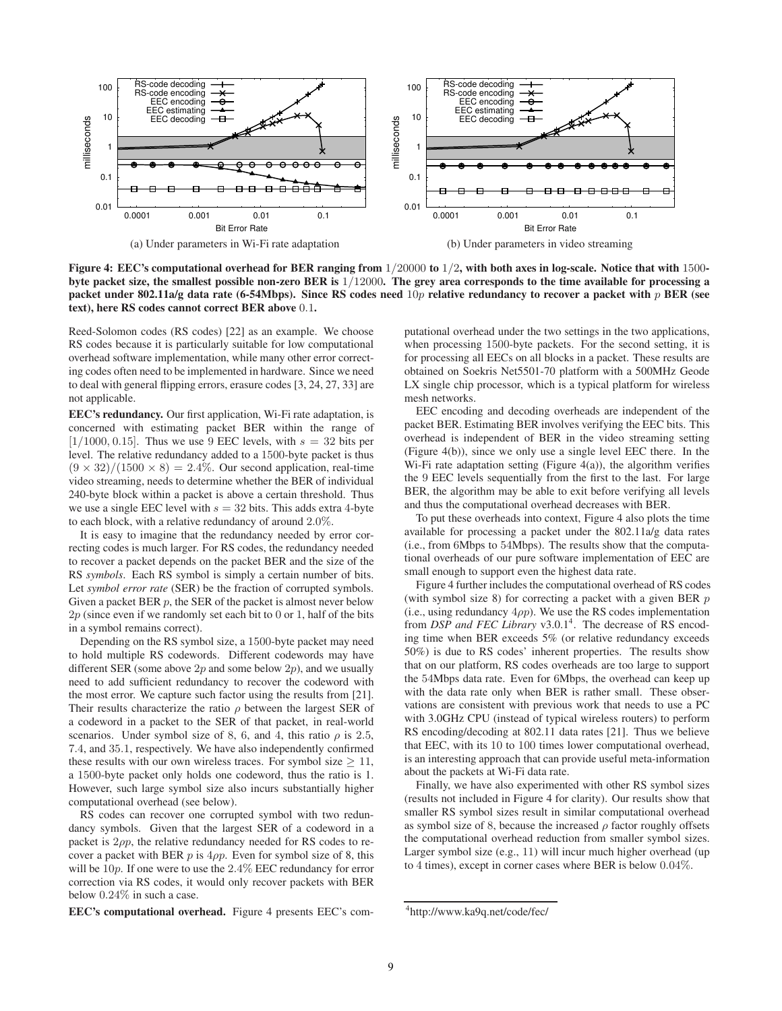

**Figure 4: EEC's computational overhead for BER ranging from** 1/20000 **to** 1/2**, with both axes in log-scale. Notice that with** 1500 **byte packet size, the smallest possible non-zero BER is** 1/12000**. The grey area corresponds to the time available for processing a packet under 802.11a/g data rate (6-54Mbps). Since RS codes need** 10p **relative redundancy to recover a packet with** p **BER (see text), here RS codes cannot correct BER above** 0.1**.**

Reed-Solomon codes (RS codes) [22] as an example. We choose RS codes because it is particularly suitable for low computational overhead software implementation, while many other error correcting codes often need to be implemented in hardware. Since we need to deal with general flipping errors, erasure codes [3, 24, 27, 33] are not applicable.

**EEC's redundancy.** Our first application, Wi-Fi rate adaptation, is concerned with estimating packet BER within the range of [ $1/1000$ , 0.15]. Thus we use 9 EEC levels, with  $s = 32$  bits per level. The relative redundancy added to a 1500-byte packet is thus  $(9 \times 32)/(1500 \times 8) = 2.4\%$ . Our second application, real-time video streaming, needs to determine whether the BER of individual 240-byte block within a packet is above a certain threshold. Thus we use a single EEC level with  $s = 32$  bits. This adds extra 4-byte to each block, with a relative redundancy of around 2.0%.

It is easy to imagine that the redundancy needed by error correcting codes is much larger. For RS codes, the redundancy needed to recover a packet depends on the packet BER and the size of the RS *symbols*. Each RS symbol is simply a certain number of bits. Let *symbol error rate* (SER) be the fraction of corrupted symbols. Given a packet BER  $p$ , the SER of the packet is almost never below  $2p$  (since even if we randomly set each bit to 0 or 1, half of the bits in a symbol remains correct).

Depending on the RS symbol size, a 1500-byte packet may need to hold multiple RS codewords. Different codewords may have different SER (some above  $2p$  and some below  $2p$ ), and we usually need to add sufficient redundancy to recover the codeword with the most error. We capture such factor using the results from [21]. Their results characterize the ratio  $\rho$  between the largest SER of a codeword in a packet to the SER of that packet, in real-world scenarios. Under symbol size of 8, 6, and 4, this ratio  $\rho$  is 2.5, 7.4, and 35.1, respectively. We have also independently confirmed these results with our own wireless traces. For symbol size  $\geq 11$ , a 1500-byte packet only holds one codeword, thus the ratio is 1. However, such large symbol size also incurs substantially higher computational overhead (see below).

RS codes can recover one corrupted symbol with two redundancy symbols. Given that the largest SER of a codeword in a packet is  $2\rho p$ , the relative redundancy needed for RS codes to recover a packet with BER  $p$  is  $4\rho p$ . Even for symbol size of 8, this will be 10*p*. If one were to use the 2.4% EEC redundancy for error correction via RS codes, it would only recover packets with BER below 0.24% in such a case.

**EEC's computational overhead.** Figure 4 presents EEC's com-

putational overhead under the two settings in the two applications, when processing 1500-byte packets. For the second setting, it is for processing all EECs on all blocks in a packet. These results are obtained on Soekris Net5501-70 platform with a 500MHz Geode LX single chip processor, which is a typical platform for wireless mesh networks.

EEC encoding and decoding overheads are independent of the packet BER. Estimating BER involves verifying the EEC bits. This overhead is independent of BER in the video streaming setting (Figure 4(b)), since we only use a single level EEC there. In the Wi-Fi rate adaptation setting (Figure 4(a)), the algorithm verifies the 9 EEC levels sequentially from the first to the last. For large BER, the algorithm may be able to exit before verifying all levels and thus the computational overhead decreases with BER.

To put these overheads into context, Figure 4 also plots the time available for processing a packet under the 802.11a/g data rates (i.e., from 6Mbps to 54Mbps). The results show that the computational overheads of our pure software implementation of EEC are small enough to support even the highest data rate.

Figure 4 further includes the computational overhead of RS codes (with symbol size 8) for correcting a packet with a given BER p (i.e., using redundancy  $4\rho p$ ). We use the RS codes implementation from *DSP and FEC Library* v3.0.1<sup>4</sup>. The decrease of RS encoding time when BER exceeds 5% (or relative redundancy exceeds 50%) is due to RS codes' inherent properties. The results show that on our platform, RS codes overheads are too large to support the 54Mbps data rate. Even for 6Mbps, the overhead can keep up with the data rate only when BER is rather small. These observations are consistent with previous work that needs to use a PC with 3.0GHz CPU (instead of typical wireless routers) to perform RS encoding/decoding at 802.11 data rates [21]. Thus we believe that EEC, with its 10 to 100 times lower computational overhead, is an interesting approach that can provide useful meta-information about the packets at Wi-Fi data rate.

Finally, we have also experimented with other RS symbol sizes (results not included in Figure 4 for clarity). Our results show that smaller RS symbol sizes result in similar computational overhead as symbol size of 8, because the increased  $\rho$  factor roughly offsets the computational overhead reduction from smaller symbol sizes. Larger symbol size (e.g., 11) will incur much higher overhead (up to 4 times), except in corner cases where BER is below 0.04%.

<sup>4</sup> http://www.ka9q.net/code/fec/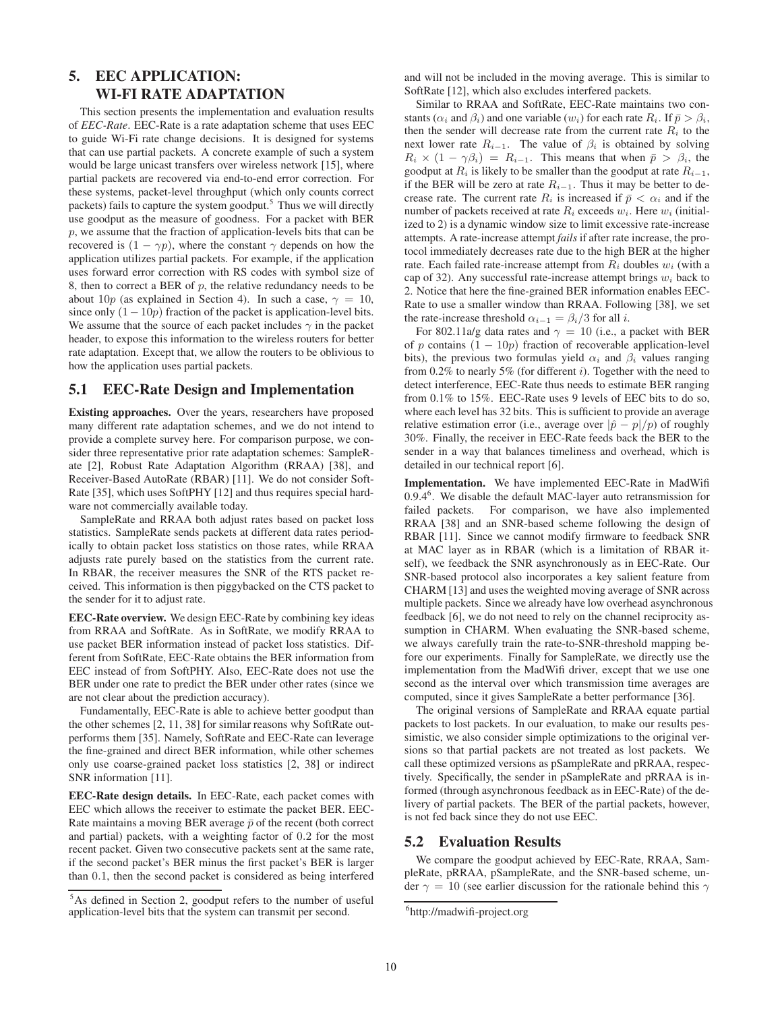# **5. EEC APPLICATION: WI-FI RATE ADAPTATION**

This section presents the implementation and evaluation results of *EEC-Rate*. EEC-Rate is a rate adaptation scheme that uses EEC to guide Wi-Fi rate change decisions. It is designed for systems that can use partial packets. A concrete example of such a system would be large unicast transfers over wireless network [15], where partial packets are recovered via end-to-end error correction. For these systems, packet-level throughput (which only counts correct packets) fails to capture the system goodput.<sup>5</sup> Thus we will directly use goodput as the measure of goodness. For a packet with BER  $p$ , we assume that the fraction of application-levels bits that can be recovered is  $(1 - \gamma p)$ , where the constant  $\gamma$  depends on how the application utilizes partial packets. For example, if the application uses forward error correction with RS codes with symbol size of 8, then to correct a BER of  $p$ , the relative redundancy needs to be about 10p (as explained in Section 4). In such a case,  $\gamma = 10$ , since only  $(1-10p)$  fraction of the packet is application-level bits. We assume that the source of each packet includes  $\gamma$  in the packet header, to expose this information to the wireless routers for better rate adaptation. Except that, we allow the routers to be oblivious to how the application uses partial packets.

# **5.1 EEC-Rate Design and Implementation**

**Existing approaches.** Over the years, researchers have proposed many different rate adaptation schemes, and we do not intend to provide a complete survey here. For comparison purpose, we consider three representative prior rate adaptation schemes: SampleRate [2], Robust Rate Adaptation Algorithm (RRAA) [38], and Receiver-Based AutoRate (RBAR) [11]. We do not consider Soft-Rate [35], which uses SoftPHY [12] and thus requires special hardware not commercially available today.

SampleRate and RRAA both adjust rates based on packet loss statistics. SampleRate sends packets at different data rates periodically to obtain packet loss statistics on those rates, while RRAA adjusts rate purely based on the statistics from the current rate. In RBAR, the receiver measures the SNR of the RTS packet received. This information is then piggybacked on the CTS packet to the sender for it to adjust rate.

**EEC-Rate overview.** We design EEC-Rate by combining key ideas from RRAA and SoftRate. As in SoftRate, we modify RRAA to use packet BER information instead of packet loss statistics. Different from SoftRate, EEC-Rate obtains the BER information from EEC instead of from SoftPHY. Also, EEC-Rate does not use the BER under one rate to predict the BER under other rates (since we are not clear about the prediction accuracy).

Fundamentally, EEC-Rate is able to achieve better goodput than the other schemes [2, 11, 38] for similar reasons why SoftRate outperforms them [35]. Namely, SoftRate and EEC-Rate can leverage the fine-grained and direct BER information, while other schemes only use coarse-grained packet loss statistics [2, 38] or indirect SNR information [11].

**EEC-Rate design details.** In EEC-Rate, each packet comes with EEC which allows the receiver to estimate the packet BER. EEC-Rate maintains a moving BER average  $\bar{p}$  of the recent (both correct and partial) packets, with a weighting factor of 0.2 for the most recent packet. Given two consecutive packets sent at the same rate, if the second packet's BER minus the first packet's BER is larger than 0.1, then the second packet is considered as being interfered

and will not be included in the moving average. This is similar to SoftRate [12], which also excludes interfered packets.

Similar to RRAA and SoftRate, EEC-Rate maintains two constants ( $\alpha_i$  and  $\beta_i$ ) and one variable ( $w_i$ ) for each rate  $R_i$ . If  $\bar{p} > \beta_i$ , then the sender will decrease rate from the current rate  $R_i$  to the next lower rate  $R_{i-1}$ . The value of  $\beta_i$  is obtained by solving  $R_i \times (1 - \gamma \beta_i) = R_{i-1}$ . This means that when  $\bar{p} > \beta_i$ , the goodput at  $R_i$  is likely to be smaller than the goodput at rate  $R_{i-1}$ , if the BER will be zero at rate  $R_{i-1}$ . Thus it may be better to decrease rate. The current rate  $R_i$  is increased if  $\bar{p} < \alpha_i$  and if the number of packets received at rate  $R_i$  exceeds  $w_i$ . Here  $w_i$  (initialized to 2) is a dynamic window size to limit excessive rate-increase attempts. A rate-increase attempt *fails* if after rate increase, the protocol immediately decreases rate due to the high BER at the higher rate. Each failed rate-increase attempt from  $R_i$  doubles  $w_i$  (with a cap of 32). Any successful rate-increase attempt brings  $w_i$  back to 2. Notice that here the fine-grained BER information enables EEC-Rate to use a smaller window than RRAA. Following [38], we set the rate-increase threshold  $\alpha_{i-1} = \beta_i/3$  for all *i*.

For 802.11a/g data rates and  $\gamma = 10$  (i.e., a packet with BER of p contains  $(1 - 10p)$  fraction of recoverable application-level bits), the previous two formulas yield  $\alpha_i$  and  $\beta_i$  values ranging from 0.2% to nearly 5% (for different i). Together with the need to detect interference, EEC-Rate thus needs to estimate BER ranging from 0.1% to 15%. EEC-Rate uses 9 levels of EEC bits to do so, where each level has 32 bits. This is sufficient to provide an average relative estimation error (i.e., average over  $|\hat{p} - p|/p$ ) of roughly 30%. Finally, the receiver in EEC-Rate feeds back the BER to the sender in a way that balances timeliness and overhead, which is detailed in our technical report [6].

**Implementation.** We have implemented EEC-Rate in MadWifi 0.9.4<sup>6</sup> . We disable the default MAC-layer auto retransmission for failed packets. For comparison, we have also implemented RRAA [38] and an SNR-based scheme following the design of RBAR [11]. Since we cannot modify firmware to feedback SNR at MAC layer as in RBAR (which is a limitation of RBAR itself), we feedback the SNR asynchronously as in EEC-Rate. Our SNR-based protocol also incorporates a key salient feature from CHARM [13] and uses the weighted moving average of SNR across multiple packets. Since we already have low overhead asynchronous feedback [6], we do not need to rely on the channel reciprocity assumption in CHARM. When evaluating the SNR-based scheme, we always carefully train the rate-to-SNR-threshold mapping before our experiments. Finally for SampleRate, we directly use the implementation from the MadWifi driver, except that we use one second as the interval over which transmission time averages are computed, since it gives SampleRate a better performance [36].

The original versions of SampleRate and RRAA equate partial packets to lost packets. In our evaluation, to make our results pessimistic, we also consider simple optimizations to the original versions so that partial packets are not treated as lost packets. We call these optimized versions as pSampleRate and pRRAA, respectively. Specifically, the sender in pSampleRate and pRRAA is informed (through asynchronous feedback as in EEC-Rate) of the delivery of partial packets. The BER of the partial packets, however, is not fed back since they do not use EEC.

#### **5.2 Evaluation Results**

We compare the goodput achieved by EEC-Rate, RRAA, SampleRate, pRRAA, pSampleRate, and the SNR-based scheme, under  $\gamma = 10$  (see earlier discussion for the rationale behind this  $\gamma$ 

<sup>5</sup>As defined in Section 2, goodput refers to the number of useful application-level bits that the system can transmit per second.

<sup>6</sup> http://madwifi-project.org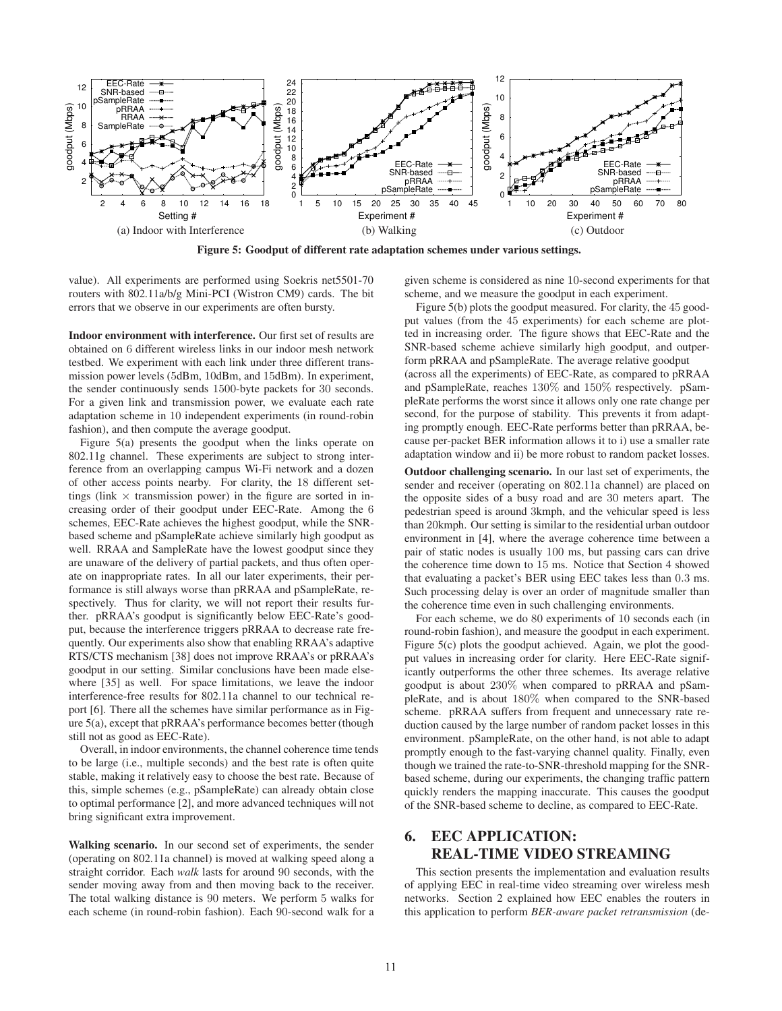

**Figure 5: Goodput of different rate adaptation schemes under various settings.**

value). All experiments are performed using Soekris net5501-70 routers with 802.11a/b/g Mini-PCI (Wistron CM9) cards. The bit errors that we observe in our experiments are often bursty.

**Indoor environment with interference.** Our first set of results are obtained on 6 different wireless links in our indoor mesh network testbed. We experiment with each link under three different transmission power levels (5dBm, 10dBm, and 15dBm). In experiment, the sender continuously sends 1500-byte packets for 30 seconds. For a given link and transmission power, we evaluate each rate adaptation scheme in 10 independent experiments (in round-robin fashion), and then compute the average goodput.

Figure 5(a) presents the goodput when the links operate on 802.11g channel. These experiments are subject to strong interference from an overlapping campus Wi-Fi network and a dozen of other access points nearby. For clarity, the 18 different settings (link  $\times$  transmission power) in the figure are sorted in increasing order of their goodput under EEC-Rate. Among the 6 schemes, EEC-Rate achieves the highest goodput, while the SNRbased scheme and pSampleRate achieve similarly high goodput as well. RRAA and SampleRate have the lowest goodput since they are unaware of the delivery of partial packets, and thus often operate on inappropriate rates. In all our later experiments, their performance is still always worse than pRRAA and pSampleRate, respectively. Thus for clarity, we will not report their results further. pRRAA's goodput is significantly below EEC-Rate's goodput, because the interference triggers pRRAA to decrease rate frequently. Our experiments also show that enabling RRAA's adaptive RTS/CTS mechanism [38] does not improve RRAA's or pRRAA's goodput in our setting. Similar conclusions have been made elsewhere [35] as well. For space limitations, we leave the indoor interference-free results for 802.11a channel to our technical report [6]. There all the schemes have similar performance as in Figure 5(a), except that pRRAA's performance becomes better (though still not as good as EEC-Rate).

Overall, in indoor environments, the channel coherence time tends to be large (i.e., multiple seconds) and the best rate is often quite stable, making it relatively easy to choose the best rate. Because of this, simple schemes (e.g., pSampleRate) can already obtain close to optimal performance [2], and more advanced techniques will not bring significant extra improvement.

**Walking scenario.** In our second set of experiments, the sender (operating on 802.11a channel) is moved at walking speed along a straight corridor. Each *walk* lasts for around 90 seconds, with the sender moving away from and then moving back to the receiver. The total walking distance is 90 meters. We perform 5 walks for each scheme (in round-robin fashion). Each 90-second walk for a given scheme is considered as nine 10-second experiments for that scheme, and we measure the goodput in each experiment.

Figure 5(b) plots the goodput measured. For clarity, the 45 goodput values (from the 45 experiments) for each scheme are plotted in increasing order. The figure shows that EEC-Rate and the SNR-based scheme achieve similarly high goodput, and outperform pRRAA and pSampleRate. The average relative goodput (across all the experiments) of EEC-Rate, as compared to pRRAA and pSampleRate, reaches 130% and 150% respectively. pSampleRate performs the worst since it allows only one rate change per second, for the purpose of stability. This prevents it from adapting promptly enough. EEC-Rate performs better than pRRAA, because per-packet BER information allows it to i) use a smaller rate adaptation window and ii) be more robust to random packet losses.

**Outdoor challenging scenario.** In our last set of experiments, the sender and receiver (operating on 802.11a channel) are placed on the opposite sides of a busy road and are 30 meters apart. The pedestrian speed is around 3kmph, and the vehicular speed is less than 20kmph. Our setting is similar to the residential urban outdoor environment in [4], where the average coherence time between a pair of static nodes is usually 100 ms, but passing cars can drive the coherence time down to 15 ms. Notice that Section 4 showed that evaluating a packet's BER using EEC takes less than 0.3 ms. Such processing delay is over an order of magnitude smaller than the coherence time even in such challenging environments.

For each scheme, we do 80 experiments of 10 seconds each (in round-robin fashion), and measure the goodput in each experiment. Figure 5(c) plots the goodput achieved. Again, we plot the goodput values in increasing order for clarity. Here EEC-Rate significantly outperforms the other three schemes. Its average relative goodput is about 230% when compared to pRRAA and pSampleRate, and is about 180% when compared to the SNR-based scheme. pRRAA suffers from frequent and unnecessary rate reduction caused by the large number of random packet losses in this environment. pSampleRate, on the other hand, is not able to adapt promptly enough to the fast-varying channel quality. Finally, even though we trained the rate-to-SNR-threshold mapping for the SNRbased scheme, during our experiments, the changing traffic pattern quickly renders the mapping inaccurate. This causes the goodput of the SNR-based scheme to decline, as compared to EEC-Rate.

# **6. EEC APPLICATION: REAL-TIME VIDEO STREAMING**

This section presents the implementation and evaluation results of applying EEC in real-time video streaming over wireless mesh networks. Section 2 explained how EEC enables the routers in this application to perform *BER-aware packet retransmission* (de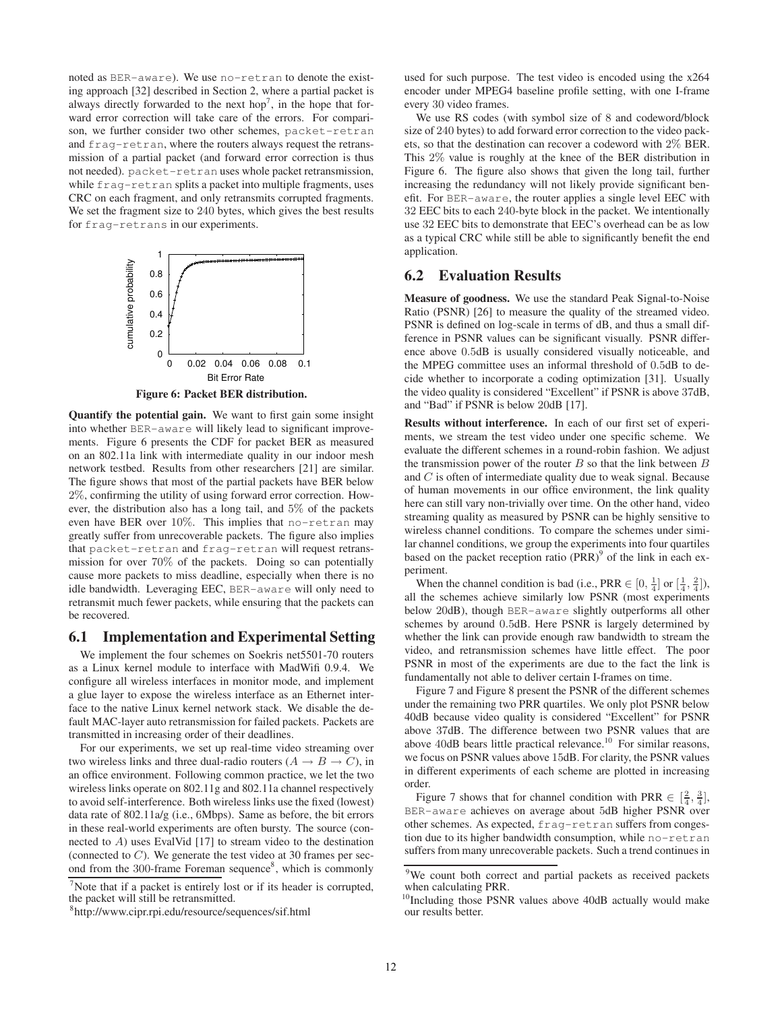noted as BER-aware). We use no-retran to denote the existing approach [32] described in Section 2, where a partial packet is always directly forwarded to the next hop<sup>7</sup>, in the hope that forward error correction will take care of the errors. For comparison, we further consider two other schemes, packet-retran and frag-retran, where the routers always request the retransmission of a partial packet (and forward error correction is thus not needed). packet-retran uses whole packet retransmission, while frag-retran splits a packet into multiple fragments, uses CRC on each fragment, and only retransmits corrupted fragments. We set the fragment size to 240 bytes, which gives the best results for frag-retrans in our experiments.



**Figure 6: Packet BER distribution.**

**Quantify the potential gain.** We want to first gain some insight into whether BER-aware will likely lead to significant improvements. Figure 6 presents the CDF for packet BER as measured on an 802.11a link with intermediate quality in our indoor mesh network testbed. Results from other researchers [21] are similar. The figure shows that most of the partial packets have BER below 2%, confirming the utility of using forward error correction. However, the distribution also has a long tail, and 5% of the packets even have BER over 10%. This implies that no-retran may greatly suffer from unrecoverable packets. The figure also implies that packet-retran and frag-retran will request retransmission for over 70% of the packets. Doing so can potentially cause more packets to miss deadline, especially when there is no idle bandwidth. Leveraging EEC, BER-aware will only need to retransmit much fewer packets, while ensuring that the packets can be recovered.

#### **6.1 Implementation and Experimental Setting**

We implement the four schemes on Soekris net5501-70 routers as a Linux kernel module to interface with MadWifi 0.9.4. We configure all wireless interfaces in monitor mode, and implement a glue layer to expose the wireless interface as an Ethernet interface to the native Linux kernel network stack. We disable the default MAC-layer auto retransmission for failed packets. Packets are transmitted in increasing order of their deadlines.

For our experiments, we set up real-time video streaming over two wireless links and three dual-radio routers  $(A \rightarrow B \rightarrow C)$ , in an office environment. Following common practice, we let the two wireless links operate on 802.11g and 802.11a channel respectively to avoid self-interference. Both wireless links use the fixed (lowest) data rate of 802.11a/g (i.e., 6Mbps). Same as before, the bit errors in these real-world experiments are often bursty. The source (connected to A) uses EvalVid [17] to stream video to the destination (connected to  $C$ ). We generate the test video at 30 frames per second from the 300-frame Foreman sequence<sup>8</sup>, which is commonly

used for such purpose. The test video is encoded using the x264 encoder under MPEG4 baseline profile setting, with one I-frame every 30 video frames.

We use RS codes (with symbol size of 8 and codeword/block size of 240 bytes) to add forward error correction to the video packets, so that the destination can recover a codeword with 2% BER. This 2% value is roughly at the knee of the BER distribution in Figure 6. The figure also shows that given the long tail, further increasing the redundancy will not likely provide significant benefit. For BER-aware, the router applies a single level EEC with 32 EEC bits to each 240-byte block in the packet. We intentionally use 32 EEC bits to demonstrate that EEC's overhead can be as low as a typical CRC while still be able to significantly benefit the end application.

## **6.2 Evaluation Results**

**Measure of goodness.** We use the standard Peak Signal-to-Noise Ratio (PSNR) [26] to measure the quality of the streamed video. PSNR is defined on log-scale in terms of dB, and thus a small difference in PSNR values can be significant visually. PSNR difference above 0.5dB is usually considered visually noticeable, and the MPEG committee uses an informal threshold of 0.5dB to decide whether to incorporate a coding optimization [31]. Usually the video quality is considered "Excellent" if PSNR is above 37dB, and "Bad" if PSNR is below 20dB [17].

**Results without interference.** In each of our first set of experiments, we stream the test video under one specific scheme. We evaluate the different schemes in a round-robin fashion. We adjust the transmission power of the router  $B$  so that the link between  $B$ and  $C$  is often of intermediate quality due to weak signal. Because of human movements in our office environment, the link quality here can still vary non-trivially over time. On the other hand, video streaming quality as measured by PSNR can be highly sensitive to wireless channel conditions. To compare the schemes under similar channel conditions, we group the experiments into four quartiles based on the packet reception ratio  $(PRR)^9$  of the link in each experiment.

When the channel condition is bad (i.e., PRR  $\in [0, \frac{1}{4}]$  or  $[\frac{1}{4}, \frac{2}{4}]$ ), all the schemes achieve similarly low PSNR (most experiments below 20dB), though BER-aware slightly outperforms all other schemes by around 0.5dB. Here PSNR is largely determined by whether the link can provide enough raw bandwidth to stream the video, and retransmission schemes have little effect. The poor PSNR in most of the experiments are due to the fact the link is fundamentally not able to deliver certain I-frames on time.

Figure 7 and Figure 8 present the PSNR of the different schemes under the remaining two PRR quartiles. We only plot PSNR below 40dB because video quality is considered "Excellent" for PSNR above 37dB. The difference between two PSNR values that are above 40dB bears little practical relevance.<sup>10</sup> For similar reasons, we focus on PSNR values above 15dB. For clarity, the PSNR values in different experiments of each scheme are plotted in increasing order.

Figure 7 shows that for channel condition with PRR  $\in \left[\frac{2}{4}, \frac{3}{4}\right]$ , BER-aware achieves on average about 5dB higher PSNR over other schemes. As expected, frag-retran suffers from congestion due to its higher bandwidth consumption, while no-retran suffers from many unrecoverable packets. Such a trend continues in

 $<sup>7</sup>$ Note that if a packet is entirely lost or if its header is corrupted,</sup> the packet will still be retransmitted.

<sup>8</sup> http://www.cipr.rpi.edu/resource/sequences/sif.html

<sup>&</sup>lt;sup>9</sup>We count both correct and partial packets as received packets when calculating PRR.

<sup>&</sup>lt;sup>10</sup>Including those PSNR values above 40dB actually would make our results better.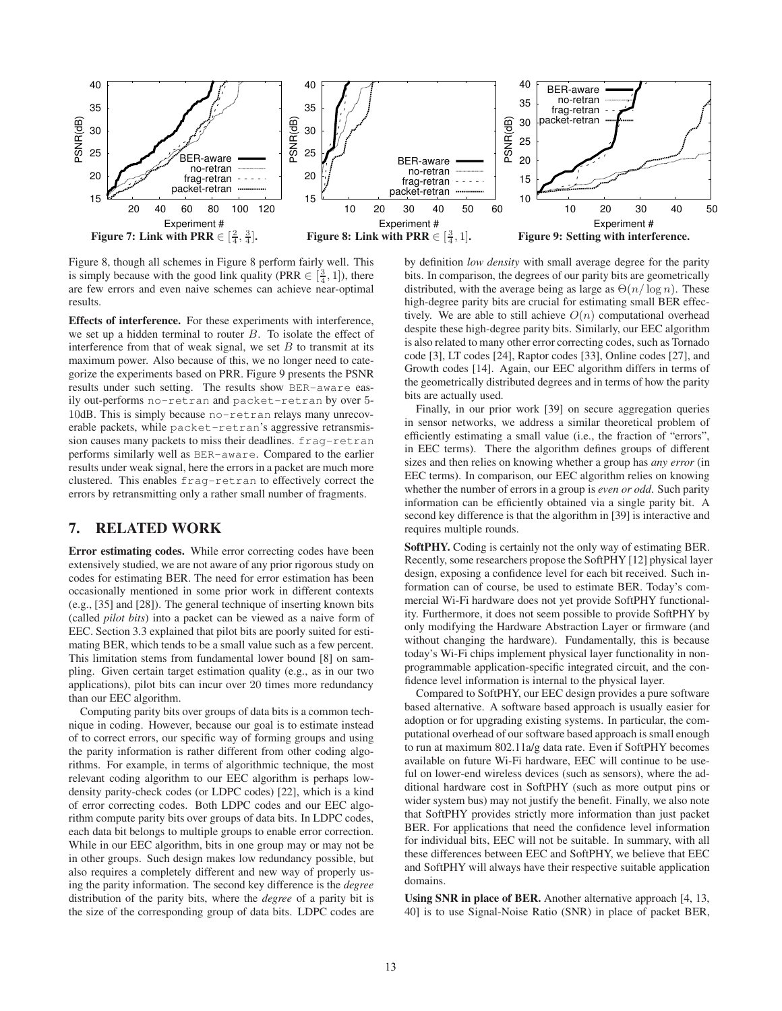

Figure 8, though all schemes in Figure 8 perform fairly well. This is simply because with the good link quality (PRR  $\in \left[\frac{3}{4}, 1\right]$ ), there are few errors and even naive schemes can achieve near-optimal results.

**Effects of interference.** For these experiments with interference, we set up a hidden terminal to router B. To isolate the effect of interference from that of weak signal, we set  $B$  to transmit at its maximum power. Also because of this, we no longer need to categorize the experiments based on PRR. Figure 9 presents the PSNR results under such setting. The results show BER-aware easily out-performs no-retran and packet-retran by over 5- 10dB. This is simply because no-retran relays many unrecoverable packets, while packet-retran's aggressive retransmission causes many packets to miss their deadlines. frag-retran performs similarly well as BER-aware. Compared to the earlier results under weak signal, here the errors in a packet are much more clustered. This enables frag-retran to effectively correct the errors by retransmitting only a rather small number of fragments.

# **7. RELATED WORK**

**Error estimating codes.** While error correcting codes have been extensively studied, we are not aware of any prior rigorous study on codes for estimating BER. The need for error estimation has been occasionally mentioned in some prior work in different contexts (e.g., [35] and [28]). The general technique of inserting known bits (called *pilot bits*) into a packet can be viewed as a naive form of EEC. Section 3.3 explained that pilot bits are poorly suited for estimating BER, which tends to be a small value such as a few percent. This limitation stems from fundamental lower bound [8] on sampling. Given certain target estimation quality (e.g., as in our two applications), pilot bits can incur over 20 times more redundancy than our EEC algorithm.

Computing parity bits over groups of data bits is a common technique in coding. However, because our goal is to estimate instead of to correct errors, our specific way of forming groups and using the parity information is rather different from other coding algorithms. For example, in terms of algorithmic technique, the most relevant coding algorithm to our EEC algorithm is perhaps lowdensity parity-check codes (or LDPC codes) [22], which is a kind of error correcting codes. Both LDPC codes and our EEC algorithm compute parity bits over groups of data bits. In LDPC codes, each data bit belongs to multiple groups to enable error correction. While in our EEC algorithm, bits in one group may or may not be in other groups. Such design makes low redundancy possible, but also requires a completely different and new way of properly using the parity information. The second key difference is the *degree* distribution of the parity bits, where the *degree* of a parity bit is the size of the corresponding group of data bits. LDPC codes are

by definition *low density* with small average degree for the parity bits. In comparison, the degrees of our parity bits are geometrically distributed, with the average being as large as  $\Theta(n/\log n)$ . These high-degree parity bits are crucial for estimating small BER effectively. We are able to still achieve  $O(n)$  computational overhead despite these high-degree parity bits. Similarly, our EEC algorithm is also related to many other error correcting codes, such as Tornado code [3], LT codes [24], Raptor codes [33], Online codes [27], and Growth codes [14]. Again, our EEC algorithm differs in terms of the geometrically distributed degrees and in terms of how the parity bits are actually used.

Finally, in our prior work [39] on secure aggregation queries in sensor networks, we address a similar theoretical problem of efficiently estimating a small value (i.e., the fraction of "errors", in EEC terms). There the algorithm defines groups of different sizes and then relies on knowing whether a group has *any error* (in EEC terms). In comparison, our EEC algorithm relies on knowing whether the number of errors in a group is *even or odd*. Such parity information can be efficiently obtained via a single parity bit. A second key difference is that the algorithm in [39] is interactive and requires multiple rounds.

**SoftPHY.** Coding is certainly not the only way of estimating BER. Recently, some researchers propose the SoftPHY [12] physical layer design, exposing a confidence level for each bit received. Such information can of course, be used to estimate BER. Today's commercial Wi-Fi hardware does not yet provide SoftPHY functionality. Furthermore, it does not seem possible to provide SoftPHY by only modifying the Hardware Abstraction Layer or firmware (and without changing the hardware). Fundamentally, this is because today's Wi-Fi chips implement physical layer functionality in nonprogrammable application-specific integrated circuit, and the confidence level information is internal to the physical layer.

Compared to SoftPHY, our EEC design provides a pure software based alternative. A software based approach is usually easier for adoption or for upgrading existing systems. In particular, the computational overhead of our software based approach is small enough to run at maximum 802.11a/g data rate. Even if SoftPHY becomes available on future Wi-Fi hardware, EEC will continue to be useful on lower-end wireless devices (such as sensors), where the additional hardware cost in SoftPHY (such as more output pins or wider system bus) may not justify the benefit. Finally, we also note that SoftPHY provides strictly more information than just packet BER. For applications that need the confidence level information for individual bits, EEC will not be suitable. In summary, with all these differences between EEC and SoftPHY, we believe that EEC and SoftPHY will always have their respective suitable application domains.

**Using SNR in place of BER.** Another alternative approach [4, 13, 40] is to use Signal-Noise Ratio (SNR) in place of packet BER,